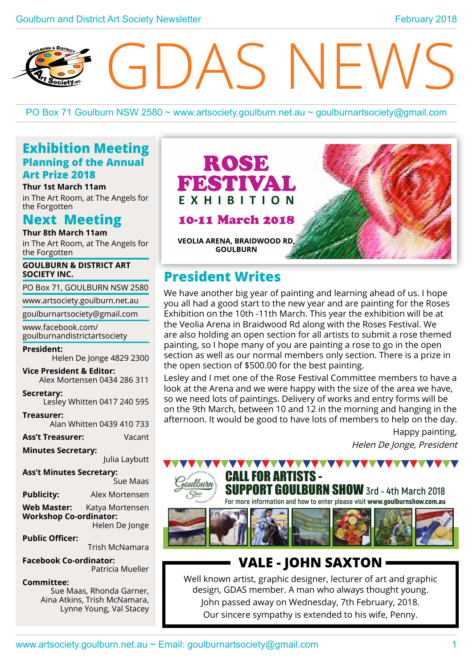# SNEV

PO Box 71 Goulburn NSW 2580 ~ www.artsociety.goulburn.net.au ~ goulburnartsociety@gmail.com

# **Exhibition Meeting Planning of the Annual Art Prize 2018**

**Thur 1st March 11am** in The Art Room, at The Angels for the Forgotten

**Next Meeting Thur 8th March 11am**

in The Art Room, at The Angels for the Forgotten

**GOULBURN & DISTRICT ART SOCIETY INC.**

PO Box 71, GOULBURN NSW 2580

www.artsociety.goulburn.net.au

goulburnartsociety@gmail.com

www.facebook.com/ goulburnandistrictartsociety

**President:**

Helen De Jonge 4829 2300

**Vice President & Editor:**  Alex Mortensen 0434 286 311

**Secretary:**  Lesley Whitten 0417 240 595

**Treasurer:**  Alan Whitten 0439 410 733

**Ass't Treasurer:** Vacant

**Minutes Secretary:**

Julia Laybutt

**Ass't Minutes Secretary:**  Sue Maas **Publicity:** Alex Mortensen **Web Master:** Katya Mortensen **Workshop Co-ordinator:** Helen De Jonge

**Public Officer:**  Trish McNamara

**Facebook Co-ordinator:** Patricia Mueller

**Committee:** 

Sue Maas, Rhonda Garner, Aina Atkins, Trish McNamara, Lynne Young, Val Stacey



# 10-11 March 2018



**veolia arena, braidwood rd, goulburn**

# **President Writes**

We have another big year of painting and learning ahead of us. I hope you all had a good start to the new year and are painting for the Roses Exhibition on the 10th -11th March. This year the exhibition will be at the Veolia Arena in Braidwood Rd along with the Roses Festival. We are also holding an open section for all artists to submit a rose themed painting, so I hope many of you are painting a rose to go in the open section as well as our normal members only section. There is a prize in the open section of \$500.00 for the best painting.

Lesley and I met one of the Rose Festival Committee members to have a look at the Arena and we were happy with the size of the area we have, so we need lots of paintings. Delivery of works and entry forms will be on the 9th March, between 10 and 12 in the morning and hanging in the afternoon. It would be good to have lots of members to help on the day.

> Happy painting, Helen De Jonge, President





**AAAAAA** 

# **VALE - JOHN SAXTON**

Well known artist, graphic designer, lecturer of art and graphic design, GDAS member. A man who always thought young. John passed away on Wednesday, 7th February, 2018. Our sincere sympathy is extended to his wife, Penny.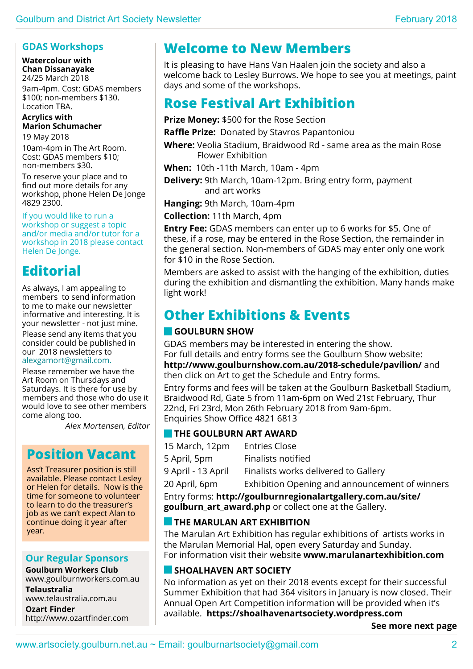### **GDAS Workshops**

**Watercolour with Chan Dissanayake**

24/25 March 2018 9am-4pm. Cost: GDAS members \$100; non-members \$130. Location TBA.

### **Acrylics with Marion Schumacher**

19 May 2018

10am-4pm in The Art Room. Cost: GDAS members \$10: non-members \$30.

To reserve your place and to find out more details for any workshop, phone Helen De Jonge 4829 2300.

If you would like to run a workshop or suggest a topic and/or media and/or tutor for a workshop in 2018 please contact Helen De Jonge.

# **Editorial**

As always, I am appealing to members to send information to me to make our newsletter informative and interesting. It is your newsletter - not just mine.

Please send any items that you consider could be published in our 2018 newsletters to alexgamort@gmail.com.

Please remember we have the Art Room on Thursdays and Saturdays. It is there for use by members and those who do use it would love to see other members come along too.

Alex Mortensen, Editor

# **Position Vacant**

Ass't Treasurer position is still available. Please contact Lesley or Helen for details. Now is the time for someone to volunteer to learn to do the treasurer's job as we can't expect Alan to continue doing it year after year.

### **Our Regular Sponsors**

**Goulburn Workers Club** www.goulburnworkers.com.au

**Telaustralia** www.telaustralia.com.au

**Ozart Finder**  http://www.ozartfinder.com

# **Welcome to New Members**

It is pleasing to have Hans Van Haalen join the society and also a welcome back to Lesley Burrows. We hope to see you at meetings, paint days and some of the workshops.

# **Rose Festival Art Exhibition**

**Prize Money:** \$500 for the Rose Section

**Raffle Prize:** Donated by Stavros Papantoniou

**Where:** Veolia Stadium, Braidwood Rd - same area as the main Rose Flower Exhibition

- **When:** 10th -11th March, 10am 4pm
- **Delivery:** 9th March, 10am-12pm. Bring entry form, payment and art works

**Hanging:** 9th March, 10am-4pm

**Collection:** 11th March, 4pm

**Entry Fee:** GDAS members can enter up to 6 works for \$5. One of these, if a rose, may be entered in the Rose Section, the remainder in the general section. Non-members of GDAS may enter only one work for \$10 in the Rose Section.

Members are asked to assist with the hanging of the exhibition, duties during the exhibition and dismantling the exhibition. Many hands make light work!

# **Other Exhibitions & Events**

# **Goulburn Show**

GDAS members may be interested in entering the show. For full details and entry forms see the Goulburn Show website:

**http://www.goulburnshow.com.au/2018-schedule/pavilion/** and then click on Art to get the Schedule and Entry forms.

Entry forms and fees will be taken at the Goulburn Basketball Stadium, Braidwood Rd, Gate 5 from 11am-6pm on Wed 21st February, Thur 22nd, Fri 23rd, Mon 26th February 2018 from 9am-6pm. Enquiries Show Office 4821 6813

### **THE GOULBURN ART AWARD**

15 March, 12pm Entries Close 5 April, 5pm Finalists notified

9 April - 13 April Finalists works delivered to Gallery

20 April, 6pm Exhibition Opening and announcement of winners

Entry forms: **http://goulburnregionalartgallery.com.au/site/ goulburn\_art\_award.php** or collect one at the Gallery.

### **THE MARULAN ART EXHIBITION**

The Marulan Art Exhibition has regular exhibitions of artists works in the Marulan Memorial Hal, open every Saturday and Sunday. For information visit their website **www.marulanartexhibition.com**

# **Shoalhaven Art Society**

No information as yet on their 2018 events except for their successful Summer Exhibition that had 364 visitors in January is now closed. Their Annual Open Art Competition information will be provided when it's available. **https://shoalhavenartsociety.wordpress.com**

**See more next page**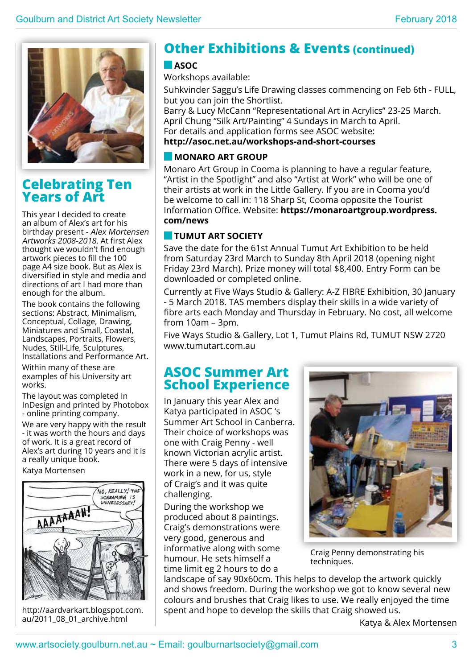

# **Celebrating Ten Years of Art**

This year I decided to create an album of Alex's art for his birthday present - Alex Mortensen Artworks 2008-2018. At first Alex thought we wouldn't find enough artwork pieces to fill the 100 page A4 size book. But as Alex is diversified in style and media and directions of art I had more than enough for the album.

The book contains the following sections: Abstract, Minimalism, Conceptual, Collage, Drawing, Miniatures and Small, Coastal, Landscapes, Portraits, Flowers, Nudes, Still-Life, Sculptures, Installations and Performance Art.

Within many of these are examples of his University art works.

The layout was completed in InDesign and printed by Photobox - online printing company.

We are very happy with the result - it was worth the hours and days of work. It is a great record of Alex's art during 10 years and it is a really unique book.

Katya Mortensen



http://aardvarkart.blogspot.com. au/2011\_08\_01\_archive.html

# **Other Exhibitions & Events (continued)**

### **ASOC**

Workshops available:

Suhkvinder Saggu's Life Drawing classes commencing on Feb 6th - FULL, but you can join the Shortlist.

Barry & Lucy McCann "Representational Art in Acrylics" 23-25 March. April Chung "Silk Art/Painting" 4 Sundays in March to April. For details and application forms see ASOC website: **http://asoc.net.au/workshops-and-short-courses**

### **MONARO ART GROUP**

Monaro Art Group in Cooma is planning to have a regular feature, "Artist in the Spotlight" and also "Artist at Work" who will be one of their artists at work in the Little Gallery. If you are in Cooma you'd be welcome to call in: 118 Sharp St, Cooma opposite the Tourist Information Office. Website: **https://monaroartgroup.wordpress. com/news**

# **Tumut Art Society**

Save the date for the 61st Annual Tumut Art Exhibition to be held from Saturday 23rd March to Sunday 8th April 2018 (opening night Friday 23rd March). Prize money will total \$8,400. Entry Form can be downloaded or completed online.

Currently at Five Ways Studio & Gallery: A-Z FIBRE Exhibition, 30 January - 5 March 2018. TAS members display their skills in a wide variety of fibre arts each Monday and Thursday in February. No cost, all welcome from 10am – 3pm.

Five Ways Studio & Gallery, Lot 1, Tumut Plains Rd, TUMUT NSW 2720 www.tumutart.com.au

# **ASOC Summer Art School Experience**

In January this year Alex and Katya participated in ASOC 's Summer Art School in Canberra. Their choice of workshops was one with Craig Penny - well known Victorian acrylic artist. There were 5 days of intensive work in a new, for us, style of Craig's and it was quite challenging.

During the workshop we produced about 8 paintings. Craig's demonstrations were very good, generous and informative along with some humour. He sets himself a time limit eg 2 hours to do a



Craig Penny demonstrating his techniques.

landscape of say 90x60cm. This helps to develop the artwork quickly and shows freedom. During the workshop we got to know several new colours and brushes that Craig likes to use. We really enjoyed the time spent and hope to develop the skills that Craig showed us.

Katya & Alex Mortensen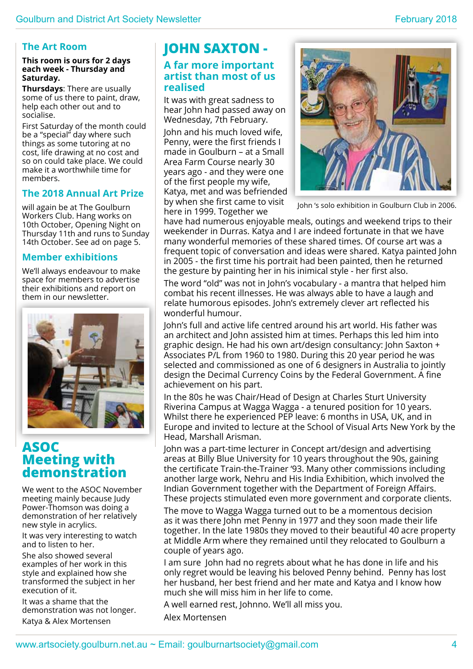### **The Art Room**

### **This room is ours for 2 days each week - Thursday and Saturday.**

**Thursdays**: There are usually some of us there to paint, draw, help each other out and to socialise.

First Saturday of the month could be a "special" day where such things as some tutoring at no cost, life drawing at no cost and so on could take place. We could make it a worthwhile time for members.

### **The 2018 Annual Art Prize**

will again be at The Goulburn Workers Club. Hang works on 10th October, Opening Night on Thursday 11th and runs to Sunday 14th October. See ad on page 5.

### **Member exhibitions**

We'll always endeavour to make space for members to advertise their exhibitions and report on them in our newsletter.



# **ASOC Meeting with demonstration**

We went to the ASOC November meeting mainly because Judy Power-Thomson was doing a demonstration of her relatively new style in acrylics.

It was very interesting to watch and to listen to her.

She also showed several examples of her work in this style and explained how she transformed the subject in her execution of it.

It was a shame that the demonstration was not longer. Katya & Alex Mortensen

# **JOHN SAXTON -**

### **A far more important artist than most of us realised**

It was with great sadness to hear John had passed away on Wednesday, 7th February.

John and his much loved wife, Penny, were the first friends I made in Goulburn – at a Small Area Farm Course nearly 30 years ago - and they were one of the first people my wife, Katya, met and was befriended by when she first came to visit here in 1999. Together we



John 's solo exhibition in Goulburn Club in 2006.

have had numerous enjoyable meals, outings and weekend trips to their weekender in Durras. Katya and I are indeed fortunate in that we have many wonderful memories of these shared times. Of course art was a frequent topic of conversation and ideas were shared. Katya painted John in 2005 - the first time his portrait had been painted, then he returned the gesture by painting her in his inimical style - her first also.

The word "old" was not in John's vocabulary - a mantra that helped him combat his recent illnesses. He was always able to have a laugh and relate humorous episodes. John's extremely clever art reflected his wonderful humour.

John's full and active life centred around his art world. His father was an architect and John assisted him at times. Perhaps this led him into graphic design. He had his own art/design consultancy: John Saxton + Associates P/L from 1960 to 1980. During this 20 year period he was selected and commissioned as one of 6 designers in Australia to jointly design the Decimal Currency Coins by the Federal Government. A fine achievement on his part.

In the 80s he was Chair/Head of Design at Charles Sturt University Riverina Campus at Wagga Wagga - a tenured position for 10 years. Whilst there he experienced PEP leave: 6 months in USA, UK, and in Europe and invited to lecture at the School of Visual Arts New York by the Head, Marshall Arisman.

John was a part-time lecturer in Concept art/design and advertising areas at Billy Blue University for 10 years throughout the 90s, gaining the certificate Train-the-Trainer '93. Many other commissions including another large work, Nehru and His India Exhibition, which involved the Indian Government together with the Department of Foreign Affairs. These projects stimulated even more government and corporate clients.

The move to Wagga Wagga turned out to be a momentous decision as it was there John met Penny in 1977 and they soon made their life together. In the late 1980s they moved to their beautiful 40 acre property at Middle Arm where they remained until they relocated to Goulburn a couple of years ago.

I am sure John had no regrets about what he has done in life and his only regret would be leaving his beloved Penny behind. Penny has lost her husband, her best friend and her mate and Katya and I know how much she will miss him in her life to come.

A well earned rest, Johnno. We'll all miss you.

Alex Mortensen